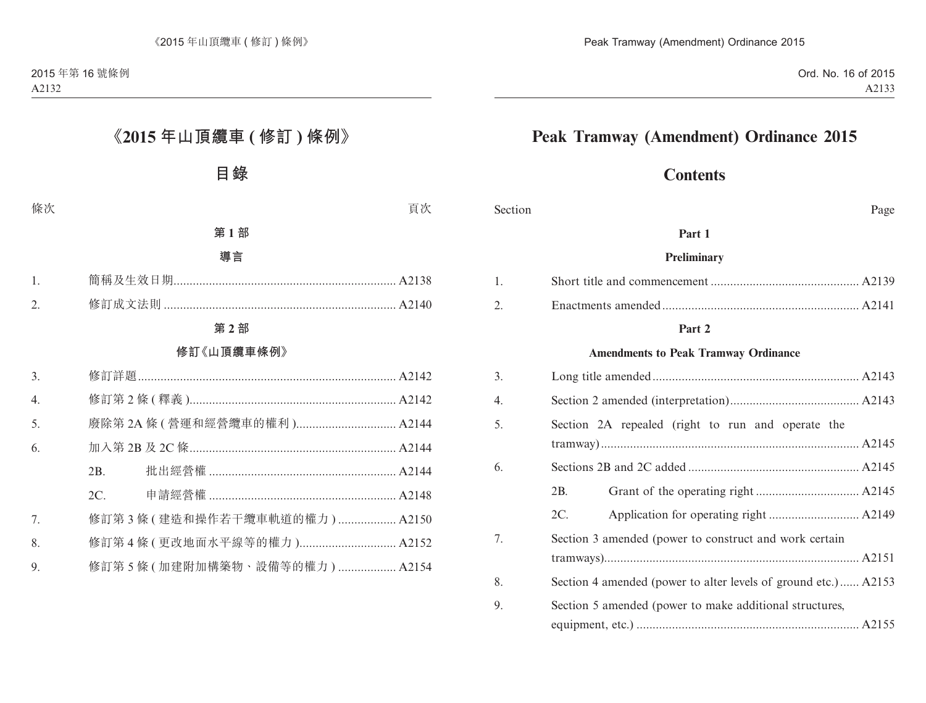# **Peak Tramway (Amendment) Ordinance 2015**

# **Contents**

Section Page

#### **Part 1**

#### **Preliminary**

#### **Part 2**

#### **Amendments to Peak Tramway Ordinance**

| 3. |                                                                |
|----|----------------------------------------------------------------|
| 4. |                                                                |
| 5. | Section 2A repealed (right to run and operate the              |
| 6. |                                                                |
|    | 2B.                                                            |
|    | 2C.                                                            |
| 7. | Section 3 amended (power to construct and work certain         |
|    |                                                                |
| 8. | Section 4 amended (power to alter levels of ground etc.) A2153 |
| 9. | Section 5 amended (power to make additional structures,        |
|    |                                                                |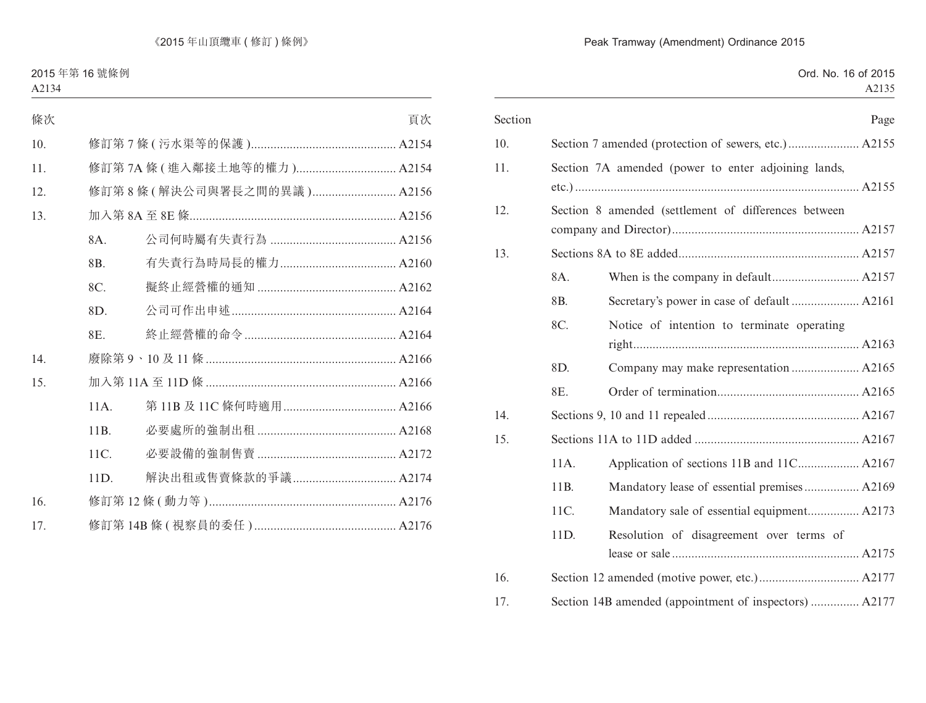#### Peak Tramway (Amendment) Ordinance 2015

| Section |      |                                                        | Page |
|---------|------|--------------------------------------------------------|------|
| 10.     |      |                                                        |      |
| 11.     |      | Section 7A amended (power to enter adjoining lands,    |      |
| 12.     |      | Section 8 amended (settlement of differences between   |      |
| 13.     |      |                                                        |      |
|         | 8A.  |                                                        |      |
|         | 8B.  |                                                        |      |
|         | 8C.  | Notice of intention to terminate operating             |      |
|         | 8D.  | Company may make representation  A2165                 |      |
|         | 8E.  |                                                        |      |
| 14.     |      |                                                        |      |
| 15.     |      |                                                        |      |
|         | 11A. |                                                        |      |
|         | 11B. | Mandatory lease of essential premises A2169            |      |
|         | 11C. |                                                        |      |
|         | 11D. | Resolution of disagreement over terms of               |      |
| 16.     |      |                                                        |      |
| 17.     |      | Section 14B amended (appointment of inspectors)  A2177 |      |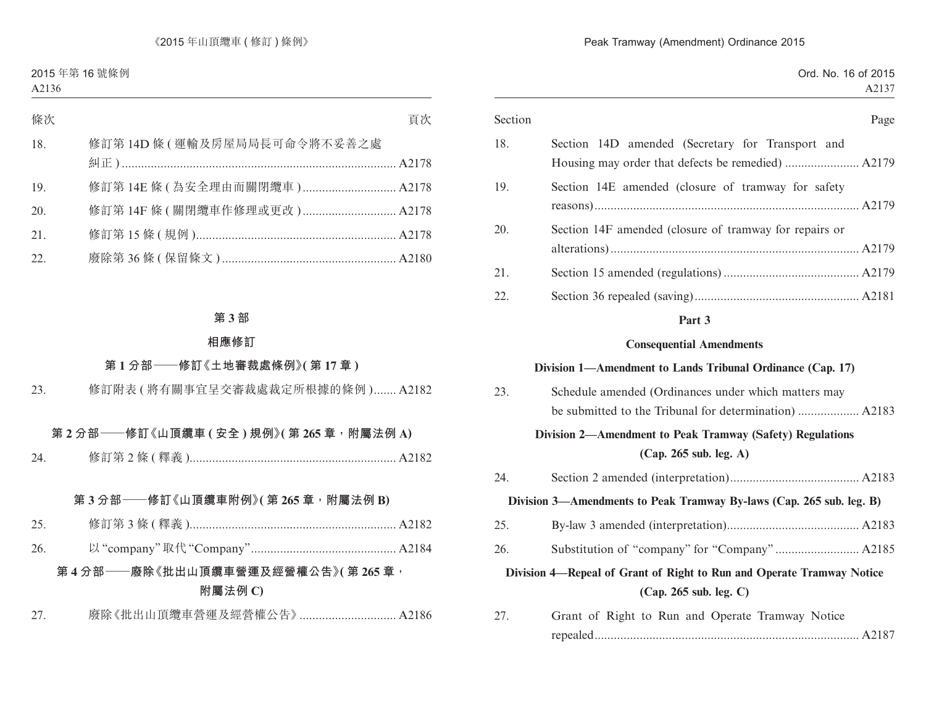| Section |                                                                       | Page |
|---------|-----------------------------------------------------------------------|------|
| 18.     | Section 14D amended (Secretary for Transport and                      |      |
|         |                                                                       |      |
| 19.     | Section 14E amended (closure of tramway for safety                    |      |
|         |                                                                       |      |
| 20.     | Section 14F amended (closure of tramway for repairs or                |      |
|         |                                                                       |      |
| 21.     |                                                                       |      |
| 22.     |                                                                       |      |
|         | Part 3                                                                |      |
|         | <b>Consequential Amendments</b>                                       |      |
|         | Division 1—Amendment to Lands Tribunal Ordinance (Cap. 17)            |      |
| 23.     | Schedule amended (Ordinances under which matters may                  |      |
|         |                                                                       |      |
|         | Division 2—Amendment to Peak Tramway (Safety) Regulations             |      |
|         | (Cap. 265 sub. leg. A)                                                |      |
| 24.     |                                                                       |      |
|         | Division 3—Amendments to Peak Tramway By-laws (Cap. 265 sub. leg. B)  |      |
| 25.     |                                                                       |      |
| 26.     |                                                                       |      |
|         | Division 4—Repeal of Grant of Right to Run and Operate Tramway Notice |      |
|         | (Cap. 265 sub. leg. C)                                                |      |
| 27.     | Grant of Right to Run and Operate Tramway Notice                      |      |

repealed.................................................................................. A2187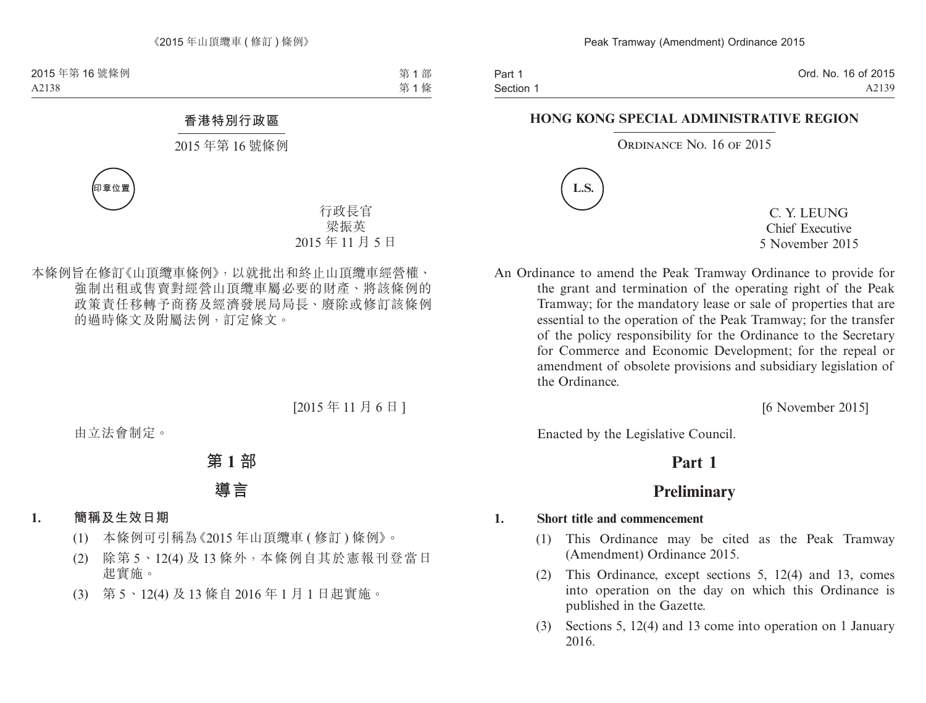Part 1 Section 1 Ord. No. 16 of 2015 A2139

#### **HONG KONG SPECIAL ADMINISTRATIVE REGION**

ORDINANCE NO. 16 OF 2015



C. Y. LEUNG Chief Executive 5 November 2015

An Ordinance to amend the Peak Tramway Ordinance to provide for the grant and termination of the operating right of the Peak Tramway; for the mandatory lease or sale of properties that are essential to the operation of the Peak Tramway; for the transfer of the policy responsibility for the Ordinance to the Secretary for Commerce and Economic Development; for the repeal or amendment of obsolete provisions and subsidiary legislation of the Ordinance.

[6 November 2015]

Enacted by the Legislative Council.

# **Part 1**

# **Preliminary**

#### **1. Short title and commencement**

- (1) This Ordinance may be cited as the Peak Tramway (Amendment) Ordinance 2015.
- (2) This Ordinance, except sections 5, 12(4) and 13, comes into operation on the day on which this Ordinance is published in the Gazette.
- (3) Sections 5, 12(4) and 13 come into operation on 1 January 2016.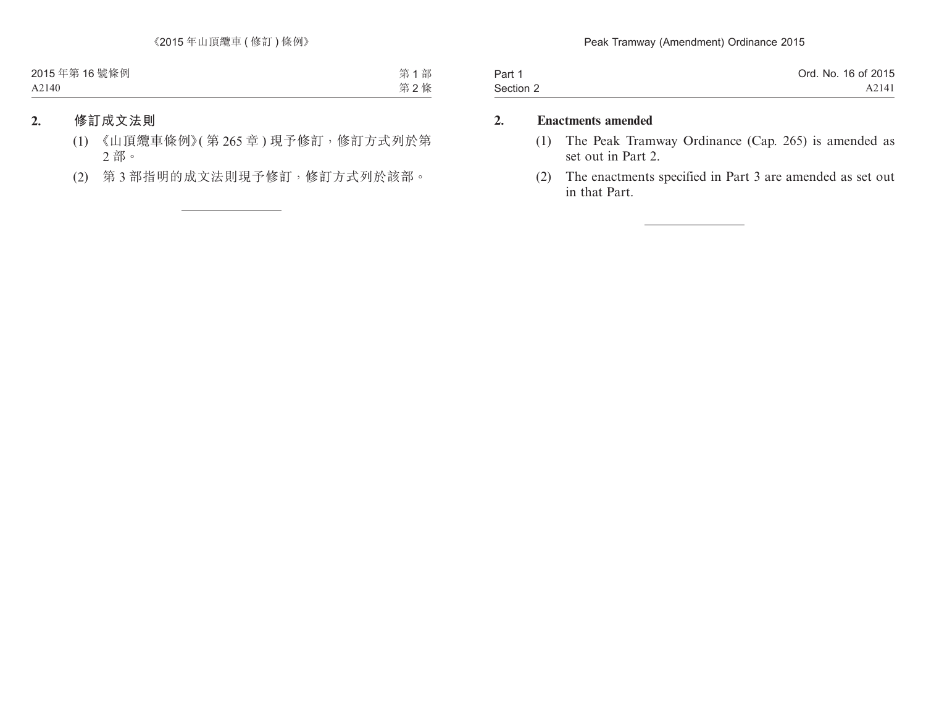| Part 1    | Ord. No. 16 of 2015 |
|-----------|---------------------|
| Section 2 | A2141               |

### **2. Enactments amended**

- (1) The Peak Tramway Ordinance (Cap. 265) is amended as set out in Part 2.
- (2) The enactments specified in Part 3 are amended as set out in that Part.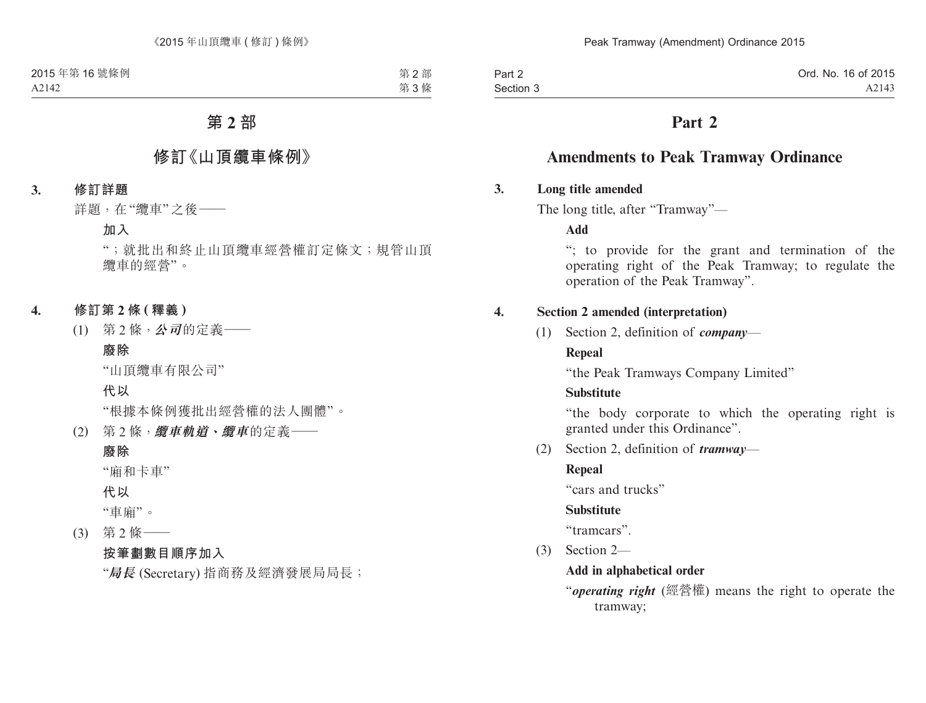Part 2 Section 3

# **Part 2**

# **Amendments to Peak Tramway Ordinance**

### **3. Long title amended**

The long title, after "Tramway"—

**Add**

"; to provide for the grant and termination of the operating right of the Peak Tramway; to regulate the operation of the Peak Tramway".

### **4. Section 2 amended (interpretation)**

(1) Section 2, definition of *company*—

### **Repeal**

"the Peak Tramways Company Limited"

### **Substitute**

"the body corporate to which the operating right is granted under this Ordinance".

(2) Section 2, definition of *tramway*—

### **Repeal**

"cars and trucks"

### **Substitute**

"tramcars".

(3) Section 2—

### **Add in alphabetical order**

"*operating right* (經營權) means the right to operate the tramway;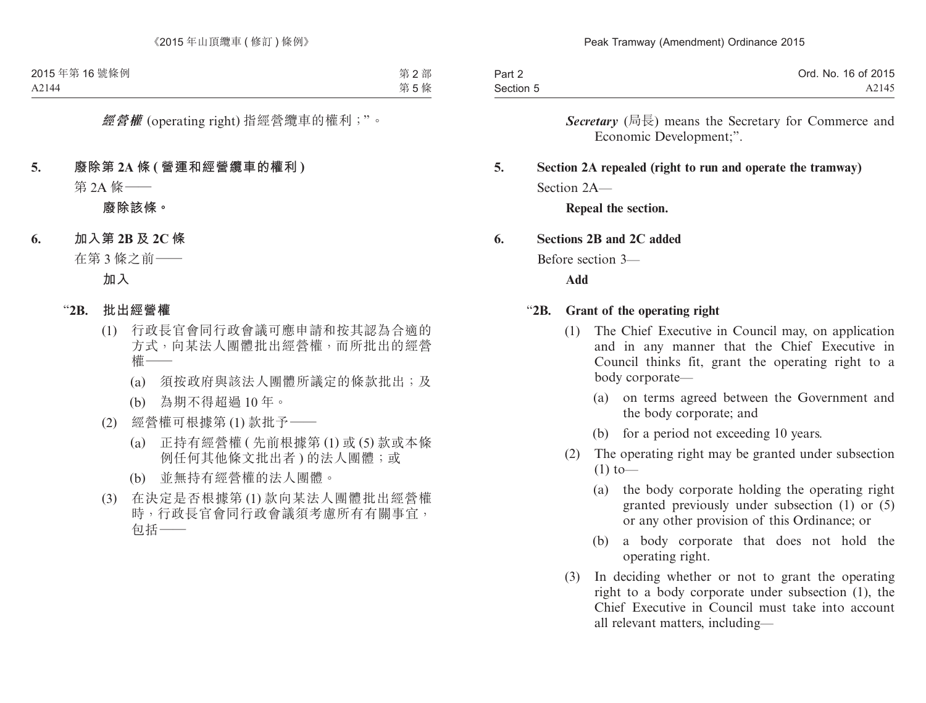| Part 2    | Ord. No. 16 of 2015 |
|-----------|---------------------|
| Section 5 | A2145               |

*Secretary* (局長) means the Secretary for Commerce and Economic Development;".

## **5. Section 2A repealed (right to run and operate the tramway)** Section  $2A$ —

**Repeal the section.**

#### **6. Sections 2B and 2C added**

Before section 3—

**Add**

#### "**2B. Grant of the operating right**

- (1) The Chief Executive in Council may, on application and in any manner that the Chief Executive in Council thinks fit, grant the operating right to a body corporate—
	- (a) on terms agreed between the Government and the body corporate; and
	- (b) for a period not exceeding 10 years.
- (2) The operating right may be granted under subsection  $(1)$  to —
	- (a) the body corporate holding the operating right granted previously under subsection (1) or (5) or any other provision of this Ordinance; or
	- (b) a body corporate that does not hold the operating right.
- (3) In deciding whether or not to grant the operating right to a body corporate under subsection (1), the Chief Executive in Council must take into account all relevant matters, including—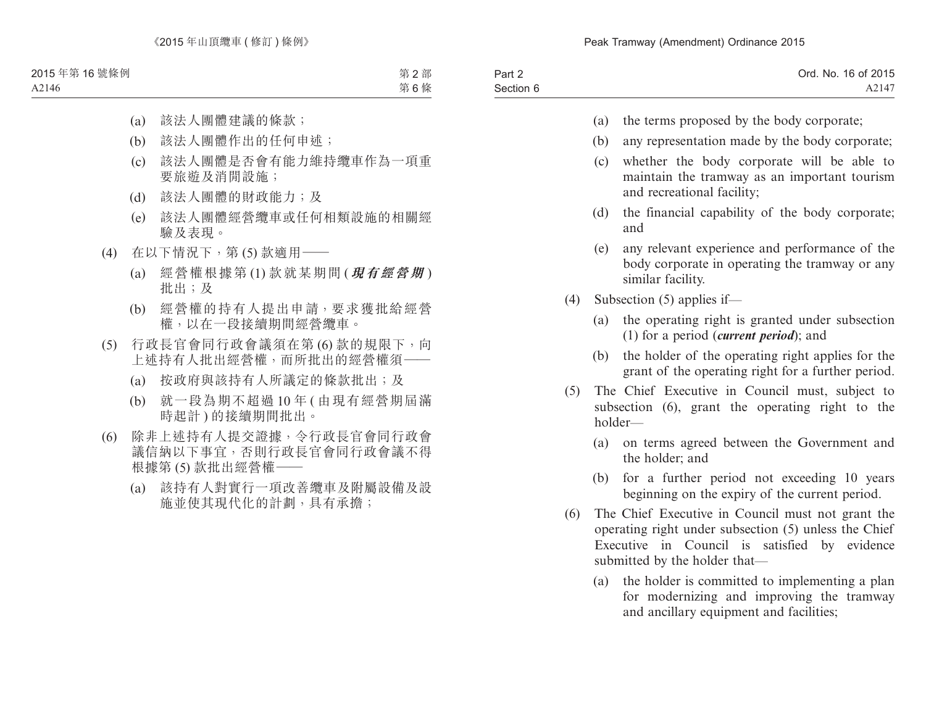| Part 2    | Ord. No. 16 of 2015 |
|-----------|---------------------|
| Section 6 | A2147               |

- (a) the terms proposed by the body corporate;
- (b) any representation made by the body corporate;
- (c) whether the body corporate will be able to maintain the tramway as an important tourism and recreational facility;
- (d) the financial capability of the body corporate; and
- (e) any relevant experience and performance of the body corporate in operating the tramway or any similar facility.
- (4) Subsection (5) applies if—
	- (a) the operating right is granted under subsection (1) for a period (*current period*); and
	- (b) the holder of the operating right applies for the grant of the operating right for a further period.
- (5) The Chief Executive in Council must, subject to subsection (6), grant the operating right to the holder—
	- (a) on terms agreed between the Government and the holder; and
	- (b) for a further period not exceeding 10 years beginning on the expiry of the current period.
- (6) The Chief Executive in Council must not grant the operating right under subsection (5) unless the Chief Executive in Council is satisfied by evidence submitted by the holder that—
	- (a) the holder is committed to implementing a plan for modernizing and improving the tramway and ancillary equipment and facilities;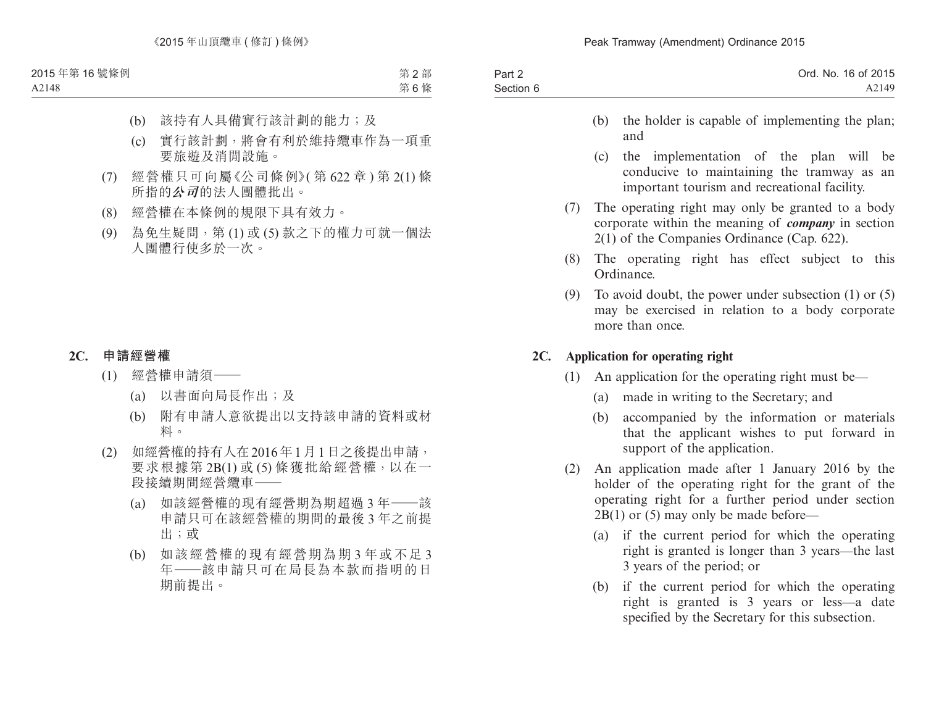| Part 2    | Ord. No. 16 of 2015 |
|-----------|---------------------|
| Section 6 | A2149               |

- (b) the holder is capable of implementing the plan; and
- (c) the implementation of the plan will be conducive to maintaining the tramway as an important tourism and recreational facility.
- (7) The operating right may only be granted to a body corporate within the meaning of *company* in section 2(1) of the Companies Ordinance (Cap. 622).
- (8) The operating right has effect subject to this Ordinance.
- (9) To avoid doubt, the power under subsection (1) or (5) may be exercised in relation to a body corporate more than once.

### **2C. Application for operating right**

- (1) An application for the operating right must be—
	- (a) made in writing to the Secretary; and
	- (b) accompanied by the information or materials that the applicant wishes to put forward in support of the application.
- (2) An application made after 1 January 2016 by the holder of the operating right for the grant of the operating right for a further period under section 2B(1) or (5) may only be made before—
	- (a) if the current period for which the operating right is granted is longer than 3 years—the last 3 years of the period; or
	- (b) if the current period for which the operating right is granted is 3 years or less—a date specified by the Secretary for this subsection.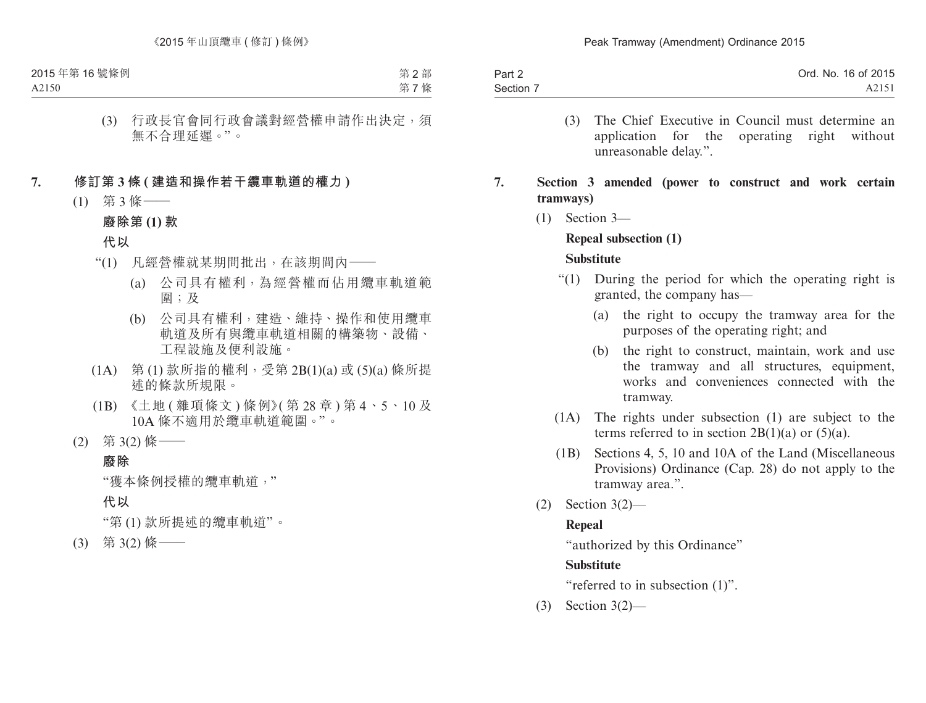| Part 2    | Ord. No. 16 of 2015 |
|-----------|---------------------|
| Section 7 | A2151               |

- (3) The Chief Executive in Council must determine an application for the operating right without unreasonable delay.".
- **7. Section 3 amended (power to construct and work certain tramways)**
	- (1) Section 3—

# **Repeal subsection (1)**

### **Substitute**

- "(1) During the period for which the operating right is granted, the company has—
	- (a) the right to occupy the tramway area for the purposes of the operating right; and
	- (b) the right to construct, maintain, work and use the tramway and all structures, equipment, works and conveniences connected with the tramway.
- (1A) The rights under subsection (1) are subject to the terms referred to in section  $2B(1)(a)$  or  $(5)(a)$ .
- (1B) Sections 4, 5, 10 and 10A of the Land (Miscellaneous Provisions) Ordinance (Cap. 28) do not apply to the tramway area.".
- (2) Section 3(2)—

## **Repeal**

"authorized by this Ordinance"

## **Substitute**

"referred to in subsection  $(1)$ ".

(3) Section 3(2)—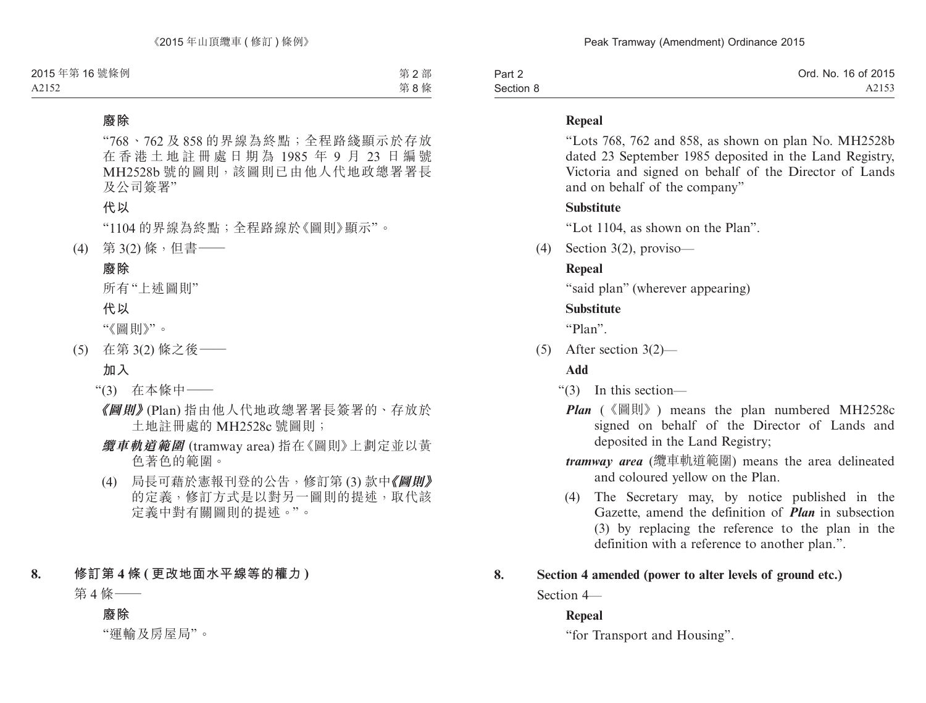| Part 2    | Ord. No. 16 of 2015 |
|-----------|---------------------|
| Section 8 | A2153               |

### **Repeal**

"Lots 768, 762 and 858, as shown on plan No. MH2528b dated 23 September 1985 deposited in the Land Registry, Victoria and signed on behalf of the Director of Lands and on behalf of the company"

### **Substitute**

"Lot 1104, as shown on the Plan".

(4) Section 3(2), proviso—

# **Repeal**

"said plan" (wherever appearing)

# **Substitute**

"Plan".

(5) After section 3(2)—

# **Add**

- "(3) In this section—
	- *Plan* (《圖則》) means the plan numbered MH2528c signed on behalf of the Director of Lands and deposited in the Land Registry;
	- *tramway area* (纜車軌道範圍) means the area delineated and coloured yellow on the Plan.
	- (4) The Secretary may, by notice published in the Gazette, amend the definition of *Plan* in subsection (3) by replacing the reference to the plan in the definition with a reference to another plan.".

# **8. Section 4 amended (power to alter levels of ground etc.)**

Section 4—

## **Repeal**

"for Transport and Housing".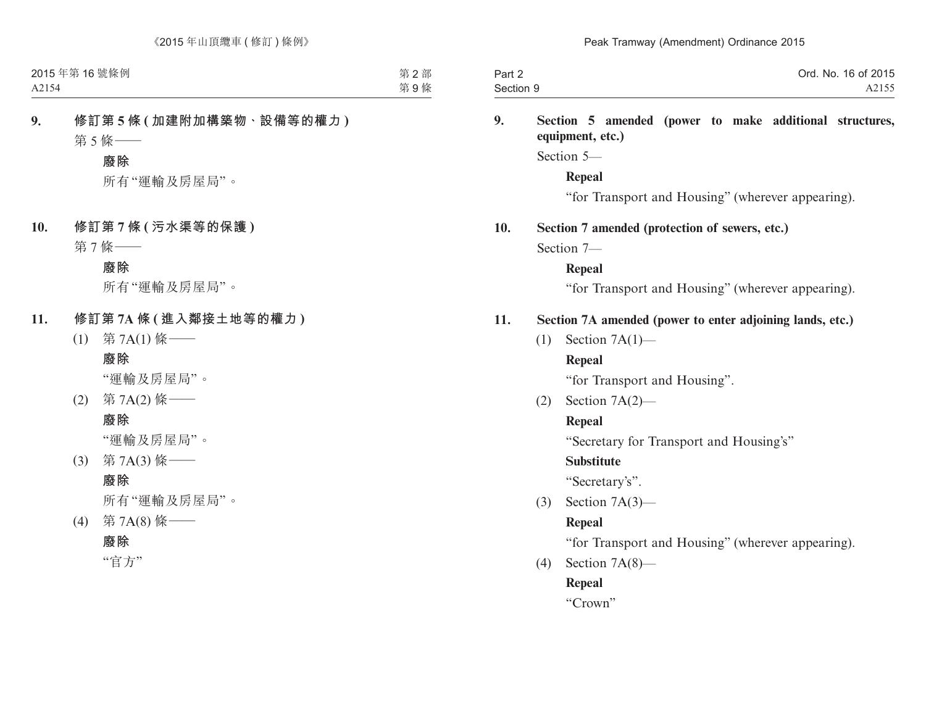| Part 2    | Ord. No. 16 of 2015 |
|-----------|---------------------|
| Section 9 | A2155               |

### **9. Section 5 amended (power to make additional structures, equipment, etc.)**

Section 5—

**Repeal**

"for Transport and Housing" (wherever appearing).

### **10. Section 7 amended (protection of sewers, etc.)**

Section 7—

### **Repeal**

"for Transport and Housing" (wherever appearing).

### **11. Section 7A amended (power to enter adjoining lands, etc.)**

(1) Section 7A(1)—

### **Repeal**

"for Transport and Housing".

(2) Section 7A(2)—

## **Repeal**

"Secretary for Transport and Housing's"

## **Substitute**

"Secretary's".

(3) Section 7A(3)—

# **Repeal**

"for Transport and Housing" (wherever appearing).

(4) Section 7A(8)—

## **Repeal**

"Crown"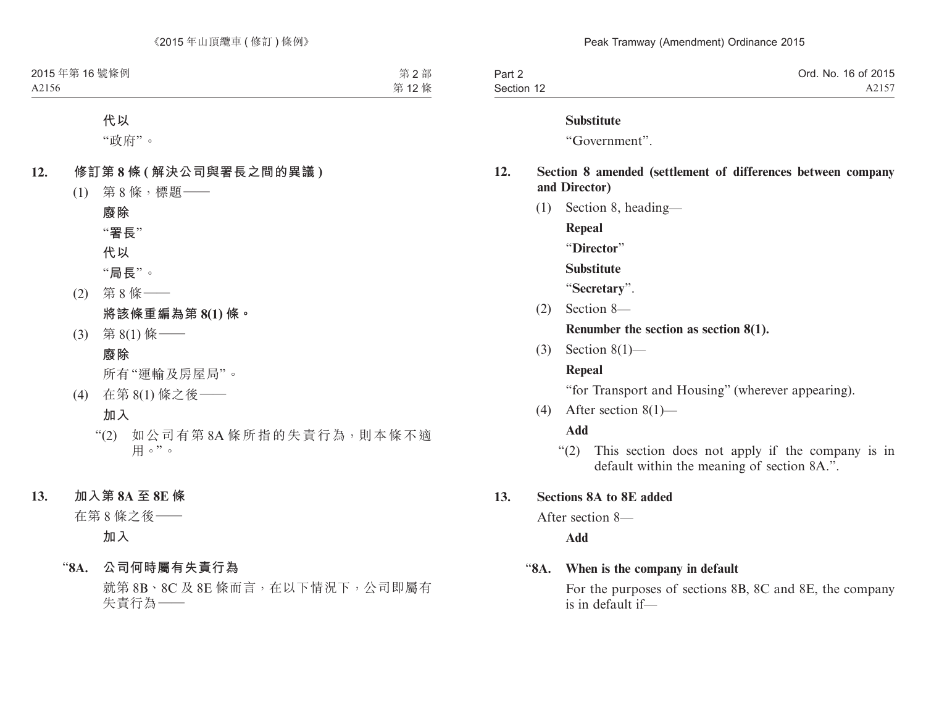| Part 2     | Ord. No. 16 of 2015 |
|------------|---------------------|
| Section 12 | A2157               |

#### **Substitute**

"Government".

### **12. Section 8 amended (settlement of differences between company and Director)**

(1) Section 8, heading—

**Repeal**

"**Director**"

**Substitute**

"**Secretary**".

(2) Section 8—

**Renumber the section as section 8(1).**

(3) Section 8(1)—

### **Repeal**

"for Transport and Housing" (wherever appearing).

(4) After section 8(1)—

#### **Add**

"(2) This section does not apply if the company is in default within the meaning of section 8A.".

#### **13. Sections 8A to 8E added**

After section 8—

**Add**

### "**8A. When is the company in default**

For the purposes of sections 8B, 8C and 8E, the company is in default if—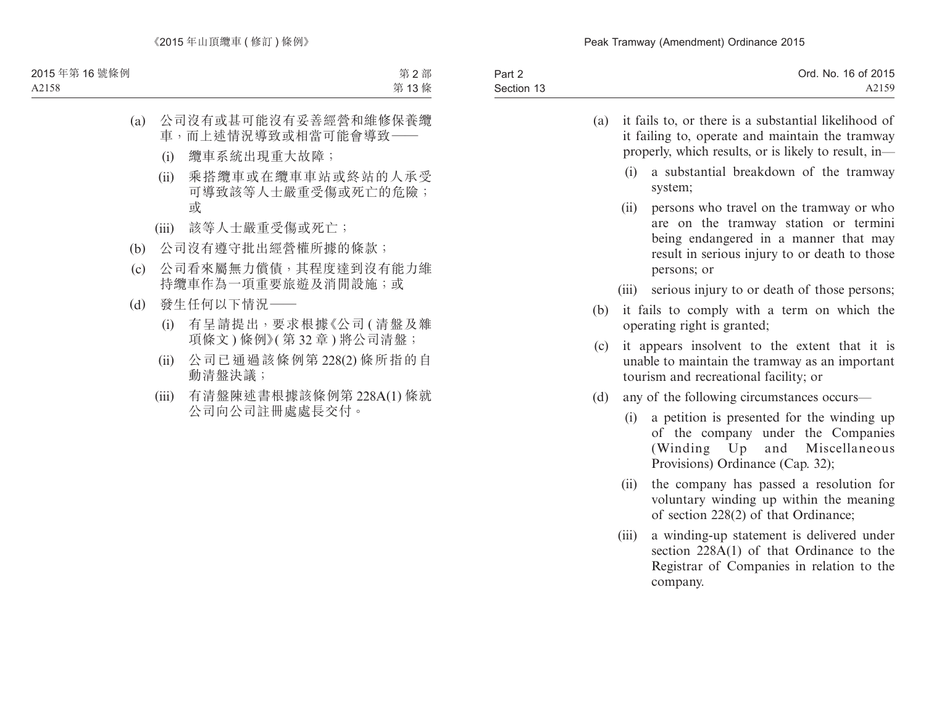| Part 2     | Ord. No. 16 of 2015 |
|------------|---------------------|
| Section 13 | A2159               |

| (a) | it fails to, or there is a substantial likelihood of |
|-----|------------------------------------------------------|
|     | it failing to, operate and maintain the tramway      |
|     | properly, which results, or is likely to result, in- |

- (i) a substantial breakdown of the tramway system;
- (ii) persons who travel on the tramway or who are on the tramway station or termini being endangered in a manner that may result in serious injury to or death to those persons; or
- (iii) serious injury to or death of those persons;
- (b) it fails to comply with a term on which the operating right is granted;
- (c) it appears insolvent to the extent that it is unable to maintain the tramway as an important tourism and recreational facility; or
- (d) any of the following circumstances occurs—
	- (i) a petition is presented for the winding up of the company under the Companies (Winding Up and Miscellaneous Provisions) Ordinance (Cap. 32);
	- (ii) the company has passed a resolution for voluntary winding up within the meaning of section 228(2) of that Ordinance;
	- (iii) a winding-up statement is delivered under section 228A(1) of that Ordinance to the Registrar of Companies in relation to the company.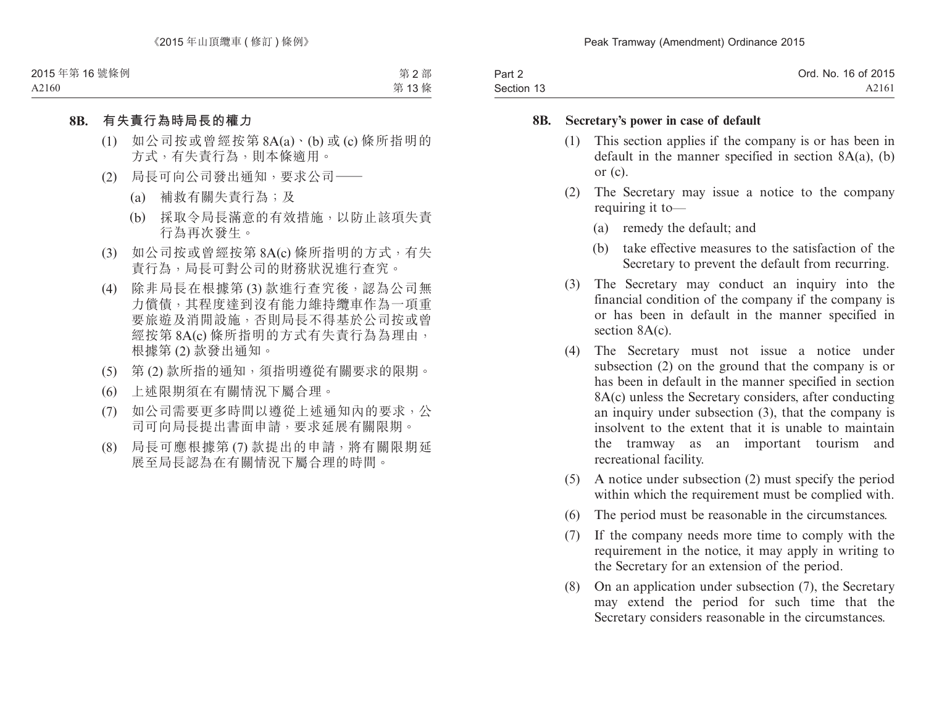| Part 2     | Ord. No. 16 of 2015 |
|------------|---------------------|
| Section 13 | A2161               |

#### **8B. Secretary's power in case of default**

- (1) This section applies if the company is or has been in default in the manner specified in section  $8A(a)$ , (b) or (c).
- (2) The Secretary may issue a notice to the company requiring it to—
	- (a) remedy the default; and
	- (b) take effective measures to the satisfaction of the Secretary to prevent the default from recurring.
- (3) The Secretary may conduct an inquiry into the financial condition of the company if the company is or has been in default in the manner specified in section 8A(c).
- (4) The Secretary must not issue a notice under subsection (2) on the ground that the company is or has been in default in the manner specified in section 8A(c) unless the Secretary considers, after conducting an inquiry under subsection (3), that the company is insolvent to the extent that it is unable to maintain the tramway as an important tourism and recreational facility.
- (5) A notice under subsection (2) must specify the period within which the requirement must be complied with.
- (6) The period must be reasonable in the circumstances.
- (7) If the company needs more time to comply with the requirement in the notice, it may apply in writing to the Secretary for an extension of the period.
- (8) On an application under subsection (7), the Secretary may extend the period for such time that the Secretary considers reasonable in the circumstances.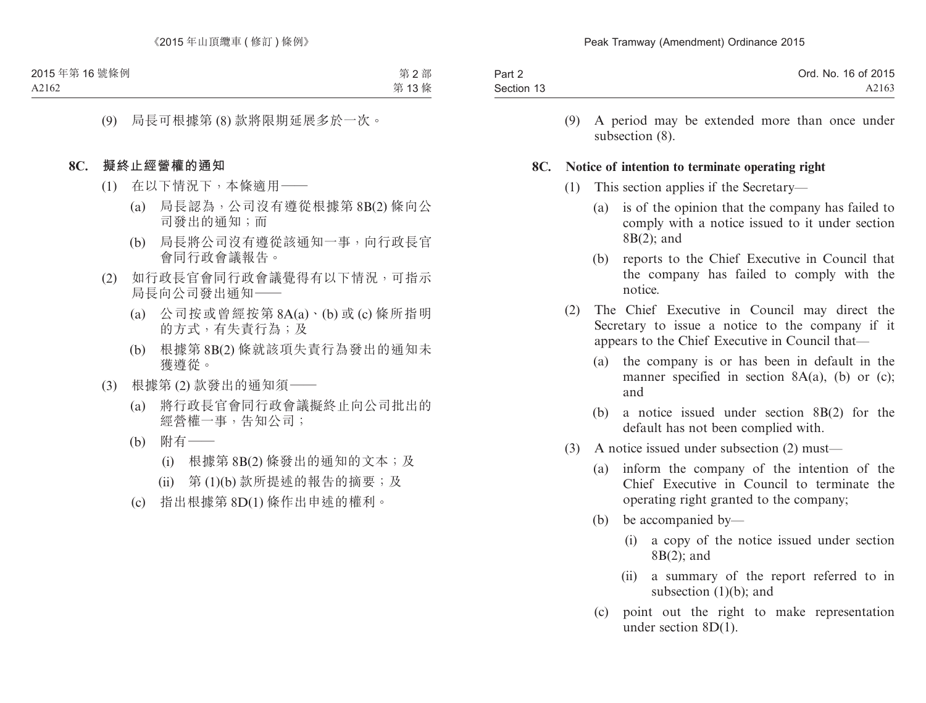| Part 2     | Ord. No. 16 of 2015 |
|------------|---------------------|
| Section 13 | A2163               |

(9) A period may be extended more than once under subsection (8).

#### **8C. Notice of intention to terminate operating right**

- (1) This section applies if the Secretary—
	- (a) is of the opinion that the company has failed to comply with a notice issued to it under section 8B(2); and
	- (b) reports to the Chief Executive in Council that the company has failed to comply with the notice.
- (2) The Chief Executive in Council may direct the Secretary to issue a notice to the company if it appears to the Chief Executive in Council that—
	- (a) the company is or has been in default in the manner specified in section  $8A(a)$ , (b) or (c); and
	- (b) a notice issued under section 8B(2) for the default has not been complied with.
- (3) A notice issued under subsection (2) must—
	- (a) inform the company of the intention of the Chief Executive in Council to terminate the operating right granted to the company;
	- (b) be accompanied by—
		- (i) a copy of the notice issued under section 8B(2); and
		- (ii) a summary of the report referred to in subsection (1)(b); and
	- (c) point out the right to make representation under section 8D(1).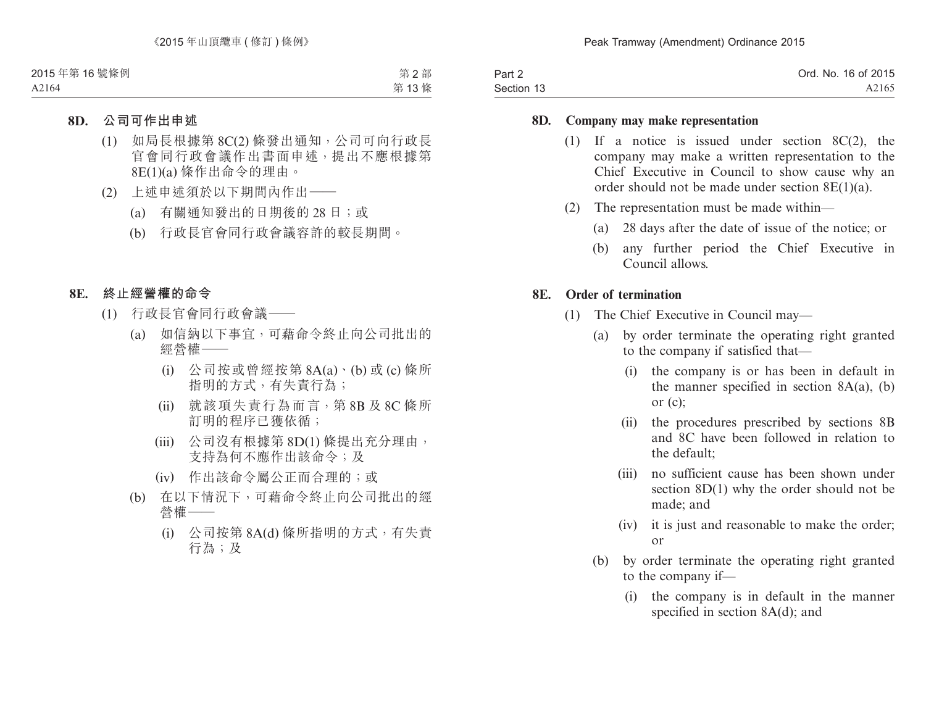| Part 2     | Ord. No. 16 of 2015 |
|------------|---------------------|
| Section 13 | A2165               |

#### **8D. Company may make representation**

- (1) If a notice is issued under section 8C(2), the company may make a written representation to the Chief Executive in Council to show cause why an order should not be made under section 8E(1)(a).
- (2) The representation must be made within—
	- (a) 28 days after the date of issue of the notice; or
	- (b) any further period the Chief Executive in Council allows.

#### **8E. Order of termination**

- (1) The Chief Executive in Council may—
	- (a) by order terminate the operating right granted to the company if satisfied that—
		- (i) the company is or has been in default in the manner specified in section  $8A(a)$ , (b) or (c);
		- (ii) the procedures prescribed by sections 8B and 8C have been followed in relation to the default;
		- (iii) no sufficient cause has been shown under section 8D(1) why the order should not be made; and
		- (iv) it is just and reasonable to make the order; or
	- (b) by order terminate the operating right granted to the company if—
		- (i) the company is in default in the manner specified in section 8A(d); and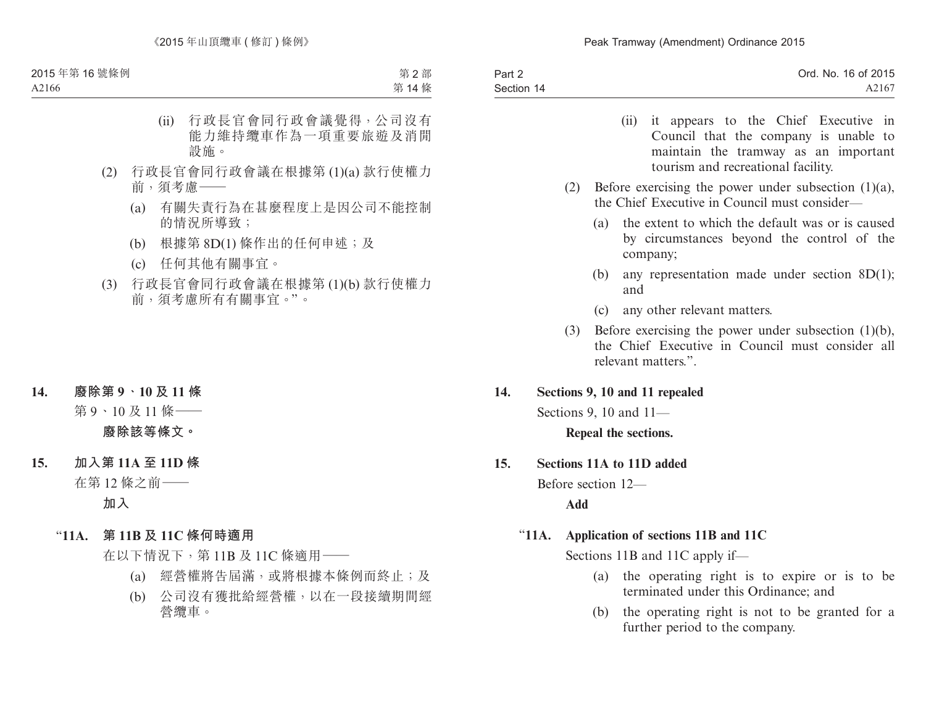| Part 2     | Ord. No. 16 of 2015 |
|------------|---------------------|
| Section 14 | A2167               |

- (ii) it appears to the Chief Executive in Council that the company is unable to maintain the tramway as an important tourism and recreational facility.
- (2) Before exercising the power under subsection (1)(a), the Chief Executive in Council must consider—
	- (a) the extent to which the default was or is caused by circumstances beyond the control of the company;
	- (b) any representation made under section 8D(1); and
	- (c) any other relevant matters.
- (3) Before exercising the power under subsection (1)(b), the Chief Executive in Council must consider all relevant matters.".

### **14. Sections 9, 10 and 11 repealed**

Sections 9, 10 and 11—

**Repeal the sections.**

#### **15. Sections 11A to 11D added**

Before section 12—

**Add**

### "**11A. Application of sections 11B and 11C**

Sections 11B and 11C apply if—

- (a) the operating right is to expire or is to be terminated under this Ordinance; and
- (b) the operating right is not to be granted for a further period to the company.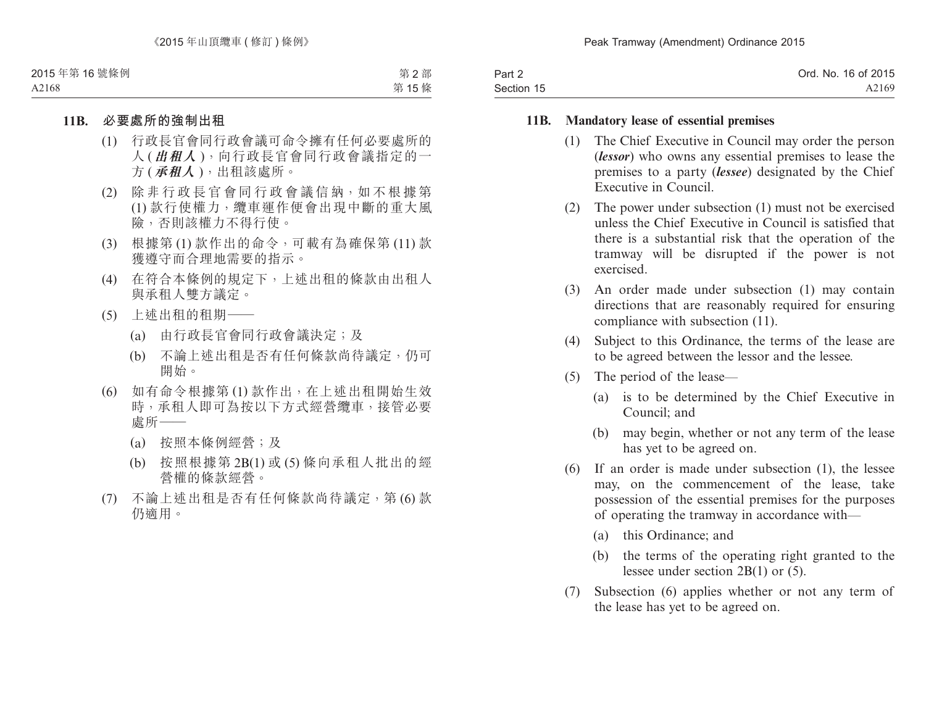| Part 2     | Ord. No. 16 of 2015 |
|------------|---------------------|
| Section 15 | A2169               |

#### **11B. Mandatory lease of essential premises**

- (1) The Chief Executive in Council may order the person (*lessor*) who owns any essential premises to lease the premises to a party (*lessee*) designated by the Chief Executive in Council.
- (2) The power under subsection (1) must not be exercised unless the Chief Executive in Council is satisfied that there is a substantial risk that the operation of the tramway will be disrupted if the power is not exercised.
- (3) An order made under subsection (1) may contain directions that are reasonably required for ensuring compliance with subsection (11).
- (4) Subject to this Ordinance, the terms of the lease are to be agreed between the lessor and the lessee.
- (5) The period of the lease—
	- (a) is to be determined by the Chief Executive in Council; and
	- (b) may begin, whether or not any term of the lease has yet to be agreed on.
- (6) If an order is made under subsection (1), the lessee may, on the commencement of the lease, take possession of the essential premises for the purposes of operating the tramway in accordance with—
	- (a) this Ordinance; and
	- (b) the terms of the operating right granted to the lessee under section 2B(1) or (5).
- (7) Subsection (6) applies whether or not any term of the lease has yet to be agreed on.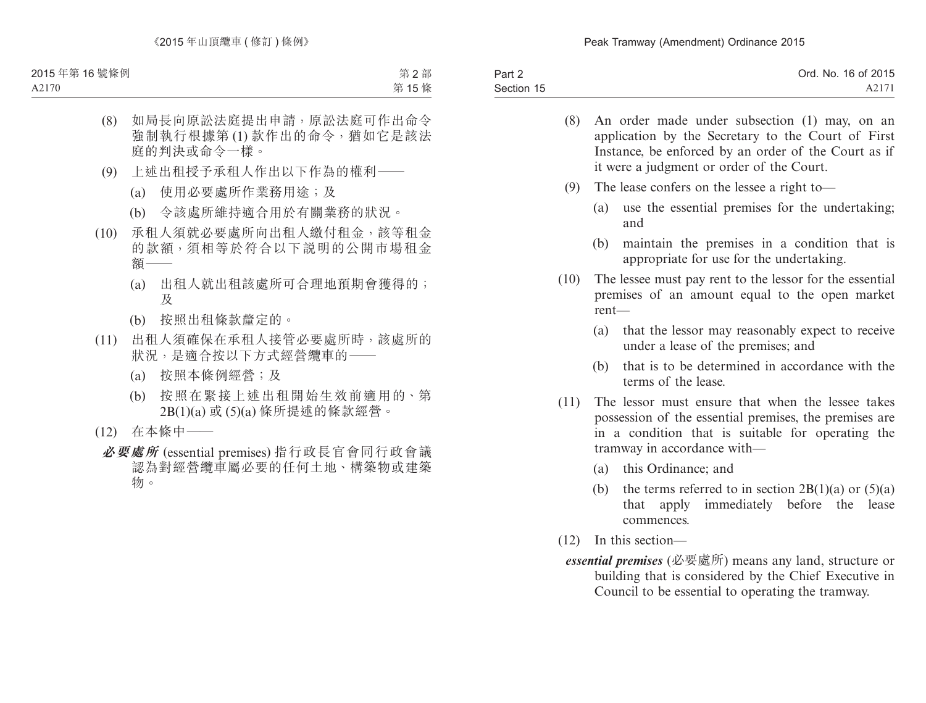| Part 2     | Ord. No. 16 of 2015 |
|------------|---------------------|
| Section 15 | A2171               |

- (8) An order made under subsection (1) may, on an application by the Secretary to the Court of First Instance, be enforced by an order of the Court as if it were a judgment or order of the Court.
- (9) The lease confers on the lessee a right to—
	- (a) use the essential premises for the undertaking; and
	- (b) maintain the premises in a condition that is appropriate for use for the undertaking.
- (10) The lessee must pay rent to the lessor for the essential premises of an amount equal to the open market rent—
	- (a) that the lessor may reasonably expect to receive under a lease of the premises; and
	- (b) that is to be determined in accordance with the terms of the lease.
- (11) The lessor must ensure that when the lessee takes possession of the essential premises, the premises are in a condition that is suitable for operating the tramway in accordance with—
	- (a) this Ordinance; and
	- (b) the terms referred to in section  $2B(1)(a)$  or  $(5)(a)$ that apply immediately before the lease commences.
- (12) In this section—
- *essential premises* (必要處所) means any land, structure or building that is considered by the Chief Executive in Council to be essential to operating the tramway.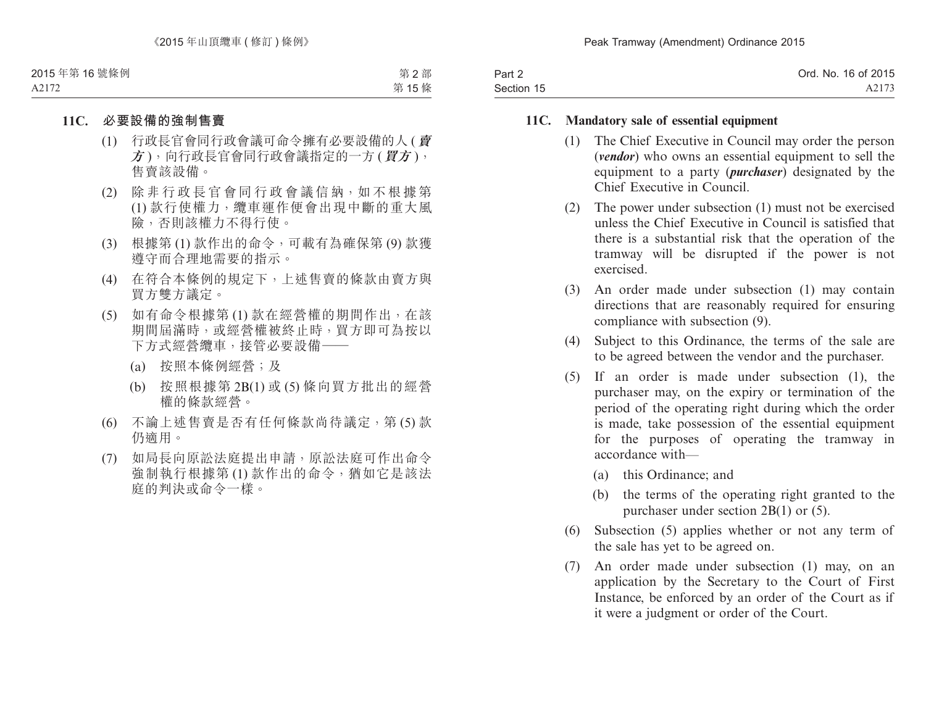| Part 2     | Ord. No. 16 of 2015 |
|------------|---------------------|
| Section 15 | A2173               |

#### **11C. Mandatory sale of essential equipment**

- (1) The Chief Executive in Council may order the person (*vendor*) who owns an essential equipment to sell the equipment to a party (*purchaser*) designated by the Chief Executive in Council.
- (2) The power under subsection (1) must not be exercised unless the Chief Executive in Council is satisfied that there is a substantial risk that the operation of the tramway will be disrupted if the power is not exercised.
- (3) An order made under subsection (1) may contain directions that are reasonably required for ensuring compliance with subsection (9).
- (4) Subject to this Ordinance, the terms of the sale are to be agreed between the vendor and the purchaser.
- (5) If an order is made under subsection (1), the purchaser may, on the expiry or termination of the period of the operating right during which the order is made, take possession of the essential equipment for the purposes of operating the tramway in accordance with—
	- (a) this Ordinance; and
	- (b) the terms of the operating right granted to the purchaser under section 2B(1) or (5).
- (6) Subsection (5) applies whether or not any term of the sale has yet to be agreed on.
- (7) An order made under subsection (1) may, on an application by the Secretary to the Court of First Instance, be enforced by an order of the Court as if it were a judgment or order of the Court.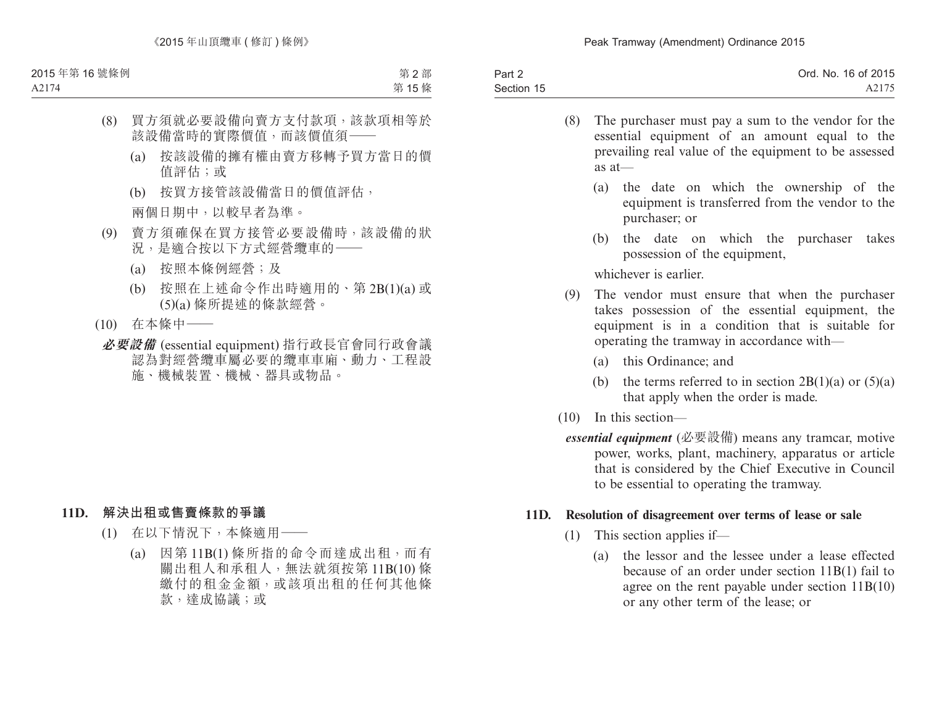| Part 2     | Ord. No. 16 of 2015 |
|------------|---------------------|
| Section 15 | A2175               |

- (8) The purchaser must pay a sum to the vendor for the essential equipment of an amount equal to the prevailing real value of the equipment to be assessed as at—
	- (a) the date on which the ownership of the equipment is transferred from the vendor to the purchaser; or
	- (b) the date on which the purchaser takes possession of the equipment,

whichever is earlier.

- (9) The vendor must ensure that when the purchaser takes possession of the essential equipment, the equipment is in a condition that is suitable for operating the tramway in accordance with—
	- (a) this Ordinance; and
	- (b) the terms referred to in section  $2B(1)(a)$  or  $(5)(a)$ that apply when the order is made.
- (10) In this section
	- *essential equipment* (必要設備) means any tramcar, motive power, works, plant, machinery, apparatus or article that is considered by the Chief Executive in Council to be essential to operating the tramway.

#### **11D. Resolution of disagreement over terms of lease or sale**

- (1) This section applies if—
	- (a) the lessor and the lessee under a lease effected because of an order under section 11B(1) fail to agree on the rent payable under section 11B(10) or any other term of the lease; or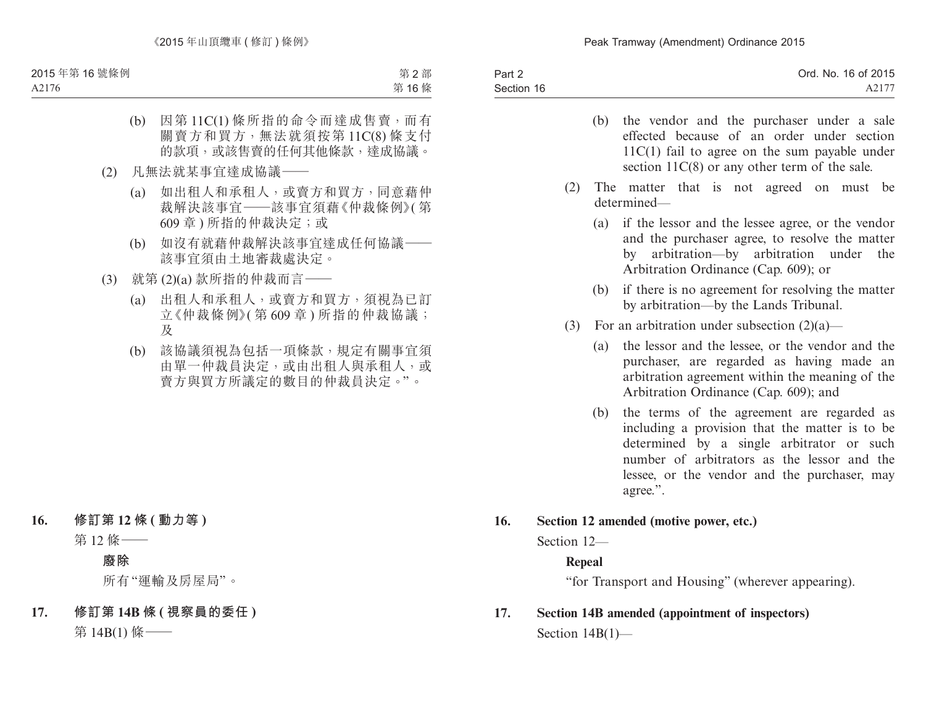| Part 2     | Ord. No. 16 of 2015 |
|------------|---------------------|
| Section 16 | A2177               |
|            |                     |

- (b) the vendor and the purchaser under a sale effected because of an order under section 11C(1) fail to agree on the sum payable under section  $11C(8)$  or any other term of the sale.
- (2) The matter that is not agreed on must be determined—
	- (a) if the lessor and the lessee agree, or the vendor and the purchaser agree, to resolve the matter by arbitration—by arbitration under the Arbitration Ordinance (Cap. 609); or
	- (b) if there is no agreement for resolving the matter by arbitration—by the Lands Tribunal.
- (3) For an arbitration under subsection  $(2)(a)$ 
	- (a) the lessor and the lessee, or the vendor and the purchaser, are regarded as having made an arbitration agreement within the meaning of the Arbitration Ordinance (Cap. 609); and
	- (b) the terms of the agreement are regarded as including a provision that the matter is to be determined by a single arbitrator or such number of arbitrators as the lessor and the lessee, or the vendor and the purchaser, may agree.".

### **16. Section 12 amended (motive power, etc.)**

Section  $12$ —

### **Repeal**

"for Transport and Housing" (wherever appearing).

# **17. Section 14B amended (appointment of inspectors)** Section 14B(1)—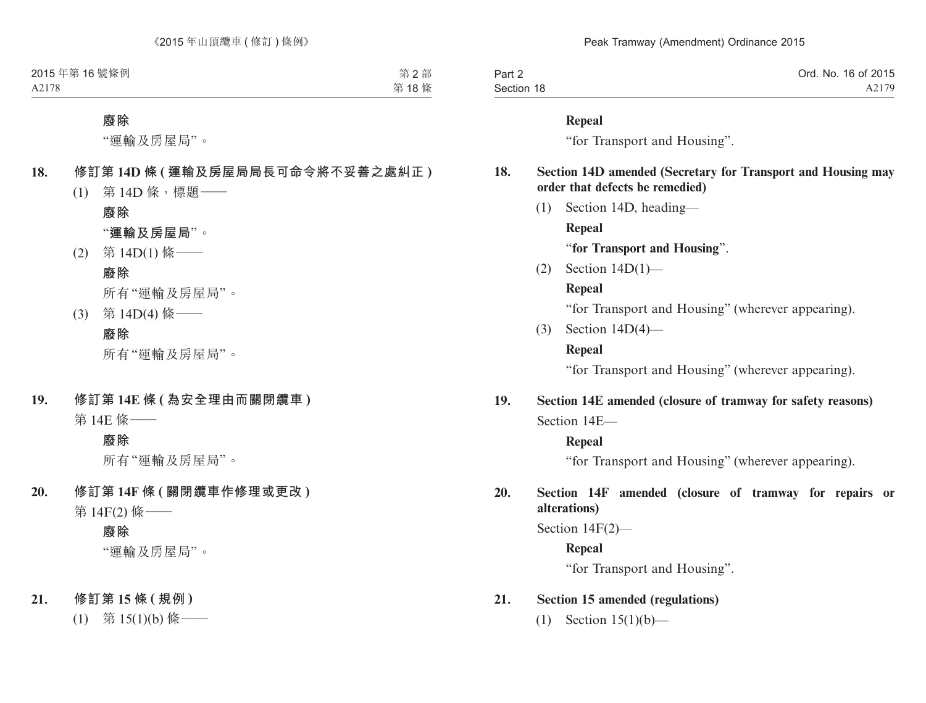| Part 2     | Ord. No. 16 of 2015 |
|------------|---------------------|
| Section 18 | A2179               |

#### **Repeal**

"for Transport and Housing".

### **18. Section 14D amended (Secretary for Transport and Housing may order that defects be remedied)**

(1) Section 14D, heading—

**Repeal**

"**for Transport and Housing**".

(2) Section 14D(1)—

### **Repeal**

"for Transport and Housing" (wherever appearing).

(3) Section 14D(4)—

### **Repeal**

"for Transport and Housing" (wherever appearing).

# **19. Section 14E amended (closure of tramway for safety reasons)** Section 14E—

### **Repeal**

"for Transport and Housing" (wherever appearing).

# **20. Section 14F amended (closure of tramway for repairs or alterations)**

Section 14F(2)—

**Repeal**

"for Transport and Housing".

## **21. Section 15 amended (regulations)**

(1) Section 15(1)(b)—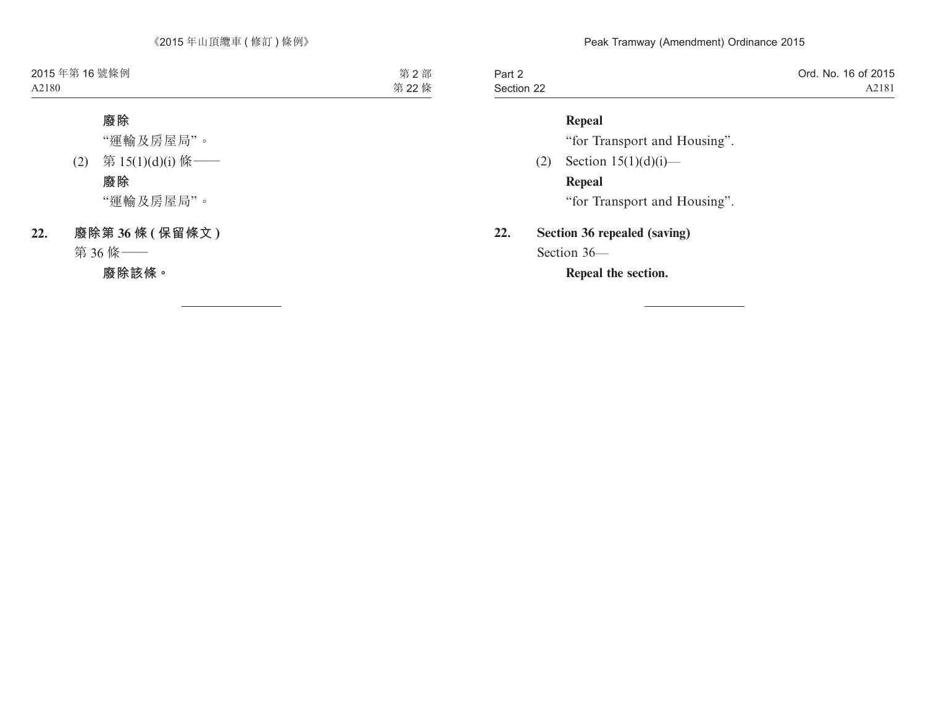| Part 2     | Ord. No. 16 of 2015 |
|------------|---------------------|
| Section 22 | A2181               |

### **Repeal**

"for Transport and Housing".

(2) Section  $15(1)(d)(i)$ — **Repeal** "for Transport and Housing".

### **22. Section 36 repealed (saving)**

Section 36—

**Repeal the section.**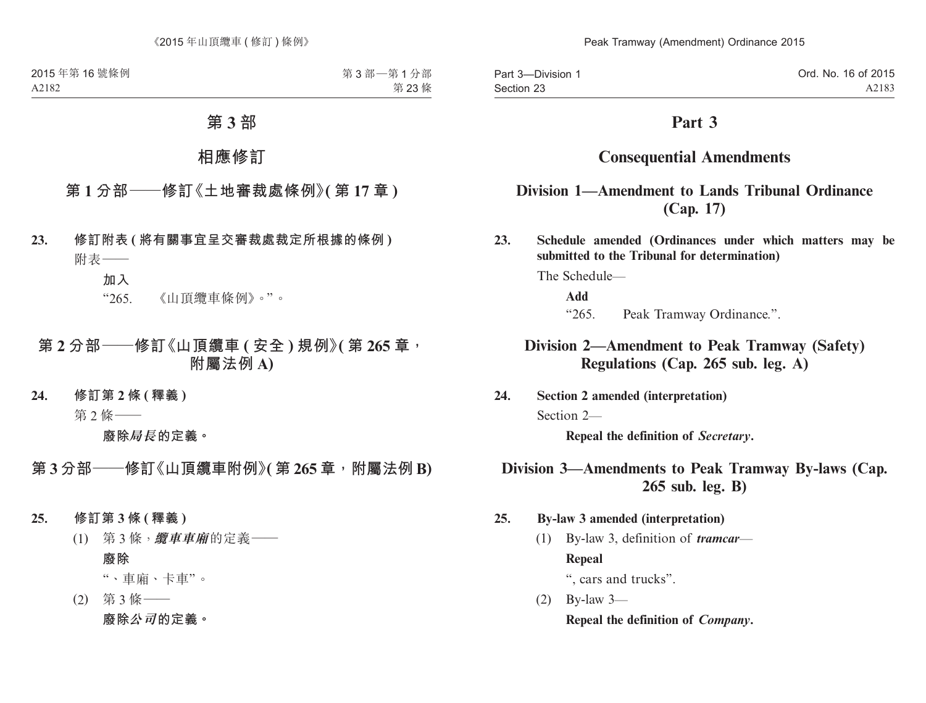Part 3—Division 1 Section 23

# **Part 3**

# **Consequential Amendments**

# **Division 1—Amendment to Lands Tribunal Ordinance (Cap. 17)**

**23. Schedule amended (Ordinances under which matters may be submitted to the Tribunal for determination)**

The Schedule—

**Add**

"265. Peak Tramway Ordinance.".

# **Division 2—Amendment to Peak Tramway (Safety) Regulations (Cap. 265 sub. leg. A)**

**24. Section 2 amended (interpretation)**

Section 2—

**Repeal the definition of** *Secretary***.**

# **Division 3—Amendments to Peak Tramway By-laws (Cap. 265 sub. leg. B)**

- **25. By-law 3 amended (interpretation)**
	- (1) By-law 3, definition of *tramcar* **Repeal** ", cars and trucks".

(2) By-law 3—

**Repeal the definition of** *Company***.**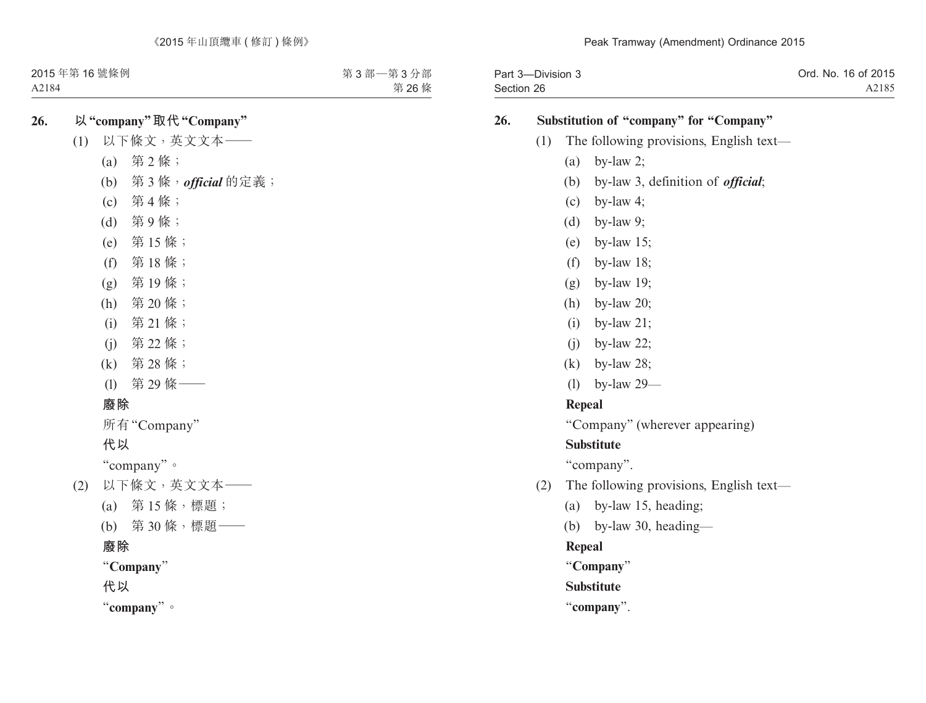| Part 3-Division 3 | Ord. No. 16 of 2015 |
|-------------------|---------------------|
| Section 26        | A2185               |

### **26. Substitution of "company" for "Company"**

- (1) The following provisions, English text—
	- (a) by-law 2;
	- (b) by-law 3, definition of *official*;
	- (c) by-law 4;
	- (d) by-law 9;
	- (e) by-law 15;
	- (f) by-law 18;
	- (g) by-law 19;
	- (h) by-law 20;
	- (i) by-law 21;
	- $(i)$  by-law 22;
	- (k) by-law 28;
	- (l) by-law 29—

#### **Repeal**

"Company" (wherever appearing)

### **Substitute**

"company".

- (2) The following provisions, English text—
	- (a) by-law 15, heading;
	- (b) by-law 30, heading—

**Repeal**

"**Company**"

**Substitute**

"**company**".